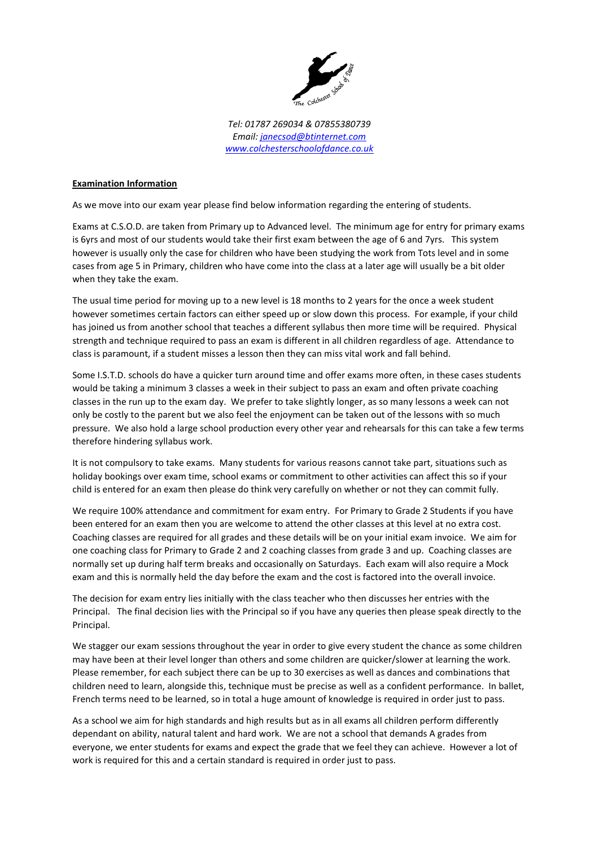

*Tel: 01787 269034 & 07855380739 Email: [janecsod@btinternet.com](mailto:janecsod@btinternet.com) [www.colchesterschoolofdance.co.uk](http://www.colchesterschoolofdance.co.uk/)*

## **Examination Information**

As we move into our exam year please find below information regarding the entering of students.

Exams at C.S.O.D. are taken from Primary up to Advanced level. The minimum age for entry for primary exams is 6yrs and most of our students would take their first exam between the age of 6 and 7yrs. This system however is usually only the case for children who have been studying the work from Tots level and in some cases from age 5 in Primary, children who have come into the class at a later age will usually be a bit older when they take the exam.

The usual time period for moving up to a new level is 18 months to 2 years for the once a week student however sometimes certain factors can either speed up or slow down this process. For example, if your child has joined us from another school that teaches a different syllabus then more time will be required. Physical strength and technique required to pass an exam is different in all children regardless of age. Attendance to class is paramount, if a student misses a lesson then they can miss vital work and fall behind.

Some I.S.T.D. schools do have a quicker turn around time and offer exams more often, in these cases students would be taking a minimum 3 classes a week in their subject to pass an exam and often private coaching classes in the run up to the exam day. We prefer to take slightly longer, as so many lessons a week can not only be costly to the parent but we also feel the enjoyment can be taken out of the lessons with so much pressure. We also hold a large school production every other year and rehearsals for this can take a few terms therefore hindering syllabus work.

It is not compulsory to take exams. Many students for various reasons cannot take part, situations such as holiday bookings over exam time, school exams or commitment to other activities can affect this so if your child is entered for an exam then please do think very carefully on whether or not they can commit fully.

We require 100% attendance and commitment for exam entry. For Primary to Grade 2 Students if you have been entered for an exam then you are welcome to attend the other classes at this level at no extra cost. Coaching classes are required for all grades and these details will be on your initial exam invoice. We aim for one coaching class for Primary to Grade 2 and 2 coaching classes from grade 3 and up. Coaching classes are normally set up during half term breaks and occasionally on Saturdays. Each exam will also require a Mock exam and this is normally held the day before the exam and the cost is factored into the overall invoice.

The decision for exam entry lies initially with the class teacher who then discusses her entries with the Principal. The final decision lies with the Principal so if you have any queries then please speak directly to the Principal.

We stagger our exam sessions throughout the year in order to give every student the chance as some children may have been at their level longer than others and some children are quicker/slower at learning the work. Please remember, for each subject there can be up to 30 exercises as well as dances and combinations that children need to learn, alongside this, technique must be precise as well as a confident performance. In ballet, French terms need to be learned, so in total a huge amount of knowledge is required in order just to pass.

As a school we aim for high standards and high results but as in all exams all children perform differently dependant on ability, natural talent and hard work. We are not a school that demands A grades from everyone, we enter students for exams and expect the grade that we feel they can achieve. However a lot of work is required for this and a certain standard is required in order just to pass.